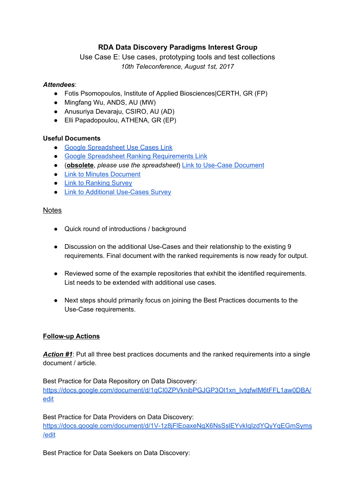# **RDA Data Discovery Paradigms Interest Group**

# Use Case E: Use cases, prototyping tools and test collections *10th Teleconference, August 1st, 2017*

# *Attendees*:

- Fotis Psomopoulos, Institute of Applied Biosciences|CERTH, GR (FP)
- Mingfang Wu, ANDS, AU (MW)
- Anusuriya Devaraju, CSIRO, AU (AD)
- Elli Papadopoulou, ATHENA, GR (EP)

## **Useful Documents**

- Google [Spreadsheet](https://docs.google.com/spreadsheets/d/16uJX12h1qCcWo1_LsYZ5NXfZXWCeD4ldx4xXEarxx58/edit?usp=sharing) Use Cases Link
- Google Spreadsheet Ranking [Requirements](https://docs.google.com/spreadsheets/d/178vc1EC0SZokSDU28iutbEszQBn2LToG5tfenCfCxQo/edit?usp=sharing) Link
- (**obsolete**, *please use the spreadsheet*) Link to Use-Case [Document](https://docs.google.com/document/d/1OHZeNjvlEyHJbMO9_MYJb_t57uF1ob8nFvA5VDmfJ60/edit?usp=sharing)
- Link to Minutes [Document](https://www.rd-alliance.org/group/data-discovery-paradigms-ig/wiki/notes-use-cases-teleconferences-dec-2016-april-2017)
- Link to [Ranking](https://goo.gl/forms/i9B7dbwWNPg4OYMQ2) Survey
- Link to Additional [Use-Cases](https://goo.gl/forms/WvQjqtgbRtVFQFjz1) Survey

## **Notes**

- Quick round of introductions / background
- Discussion on the additional Use-Cases and their relationship to the existing 9 requirements. Final document with the ranked requirements is now ready for output.
- Reviewed some of the example repositories that exhibit the identified requirements. List needs to be extended with additional use cases.
- Next steps should primarily focus on joining the Best Practices documents to the Use-Case requirements.

## **Follow-up Actions**

*Action #1*: Put all three best practices documents and the ranked requirements into a single document / article.

Best Practice for Data Repository on Data Discovery: [https://docs.google.com/document/d/1qCI0ZPVknibPGJGP3Ol1xn\\_lvtqfwlM6tFFL1aw0DBA/](https://docs.google.com/document/d/1qCI0ZPVknibPGJGP3Ol1xn_lvtqfwlM6tFFL1aw0DBA/edit) [edit](https://docs.google.com/document/d/1qCI0ZPVknibPGJGP3Ol1xn_lvtqfwlM6tFFL1aw0DBA/edit)

Best Practice for Data Providers on Data Discovery: [https://docs.google.com/document/d/1V-1z8jFlEoaxeNgX6NsSslEYvkIqIzdYQyYqEGmSyms](https://docs.google.com/document/d/1V-1z8jFlEoaxeNgX6NsSslEYvkIqIzdYQyYqEGmSyms/edit) [/edit](https://docs.google.com/document/d/1V-1z8jFlEoaxeNgX6NsSslEYvkIqIzdYQyYqEGmSyms/edit)

Best Practice for Data Seekers on Data Discovery: